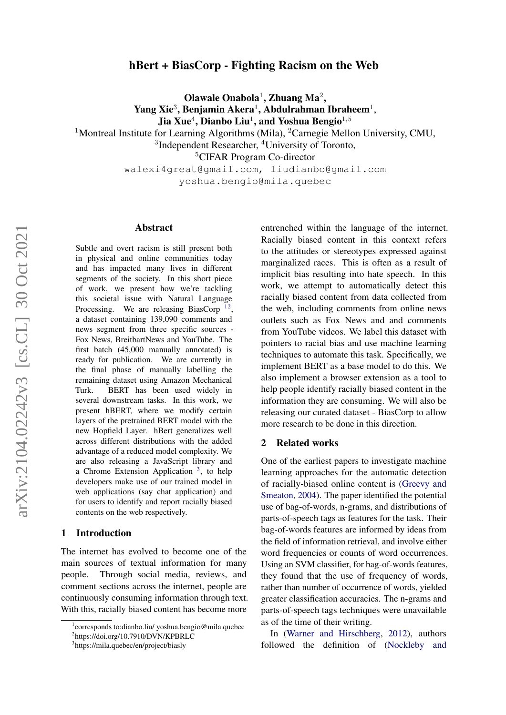# hBert + BiasCorp - Fighting Racism on the Web

Olawale Onabola<sup>1</sup>, Zhuang Ma<sup>2</sup>,

Yang Xie<sup>3</sup>, Benjamin Akera<sup>1</sup>, Abdulrahman Ibraheem<sup>1</sup>,

Jia Xue $^4$ , Dianbo Liu $^1$ , and Yoshua Bengio $^{1,5}$ 

<sup>1</sup>Montreal Institute for Learning Algorithms (Mila), <sup>2</sup>Carnegie Mellon University, CMU,

<sup>3</sup>Independent Researcher, <sup>4</sup>University of Toronto,

<sup>5</sup>CIFAR Program Co-director

walexi4great@gmail.com, liudianbo@gmail.com yoshua.bengio@mila.quebec

#### Abstract

Subtle and overt racism is still present both in physical and online communities today and has impacted many lives in different segments of the society. In this short piece of work, we present how we're tackling this societal issue with Natural Language Processing. We are releasing BiasCorp<sup>[1](#page-0-0)[2](#page-0-1)</sup>, a dataset containing 139,090 comments and news segment from three specific sources - Fox News, BreitbartNews and YouTube. The first batch (45,000 manually annotated) is ready for publication. We are currently in the final phase of manually labelling the remaining dataset using Amazon Mechanical Turk. BERT has been used widely in several downstream tasks. In this work, we present hBERT, where we modify certain layers of the pretrained BERT model with the new Hopfield Layer. hBert generalizes well across different distributions with the added advantage of a reduced model complexity. We are also releasing a JavaScript library and a Chrome Extension Application<sup>[3](#page-0-2)</sup>, to help developers make use of our trained model in web applications (say chat application) and for users to identify and report racially biased contents on the web respectively.

#### 1 Introduction

The internet has evolved to become one of the main sources of textual information for many people. Through social media, reviews, and comment sections across the internet, people are continuously consuming information through text. With this, racially biased content has become more

entrenched within the language of the internet. Racially biased content in this context refers to the attitudes or stereotypes expressed against marginalized races. This is often as a result of implicit bias resulting into hate speech. In this work, we attempt to automatically detect this racially biased content from data collected from the web, including comments from online news outlets such as Fox News and and comments from YouTube videos. We label this dataset with pointers to racial bias and use machine learning techniques to automate this task. Specifically, we implement BERT as a base model to do this. We also implement a browser extension as a tool to help people identify racially biased content in the information they are consuming. We will also be releasing our curated dataset - BiasCorp to allow more research to be done in this direction.

#### 2 Related works

One of the earliest papers to investigate machine learning approaches for the automatic detection of racially-biased online content is [\(Greevy and](#page-7-0) [Smeaton,](#page-7-0) [2004\)](#page-7-0). The paper identified the potential use of bag-of-words, n-grams, and distributions of parts-of-speech tags as features for the task. Their bag-of-words features are informed by ideas from the field of information retrieval, and involve either word frequencies or counts of word occurrences. Using an SVM classifier, for bag-of-words features, they found that the use of frequency of words, rather than number of occurrence of words, yielded greater classification accuracies. The n-grams and parts-of-speech tags techniques were unavailable as of the time of their writing.

In [\(Warner and Hirschberg,](#page-7-1) [2012\)](#page-7-1), authors followed the definition of [\(Nockleby and](#page-7-2)

<span id="page-0-0"></span><sup>1</sup> corresponds to:dianbo.liu/ yoshua.bengio@mila.quebec

<span id="page-0-1"></span><sup>&</sup>lt;sup>2</sup>https://doi.org/10.7910/DVN/KPBRLC

<span id="page-0-2"></span><sup>3</sup> https://mila.quebec/en/project/biasly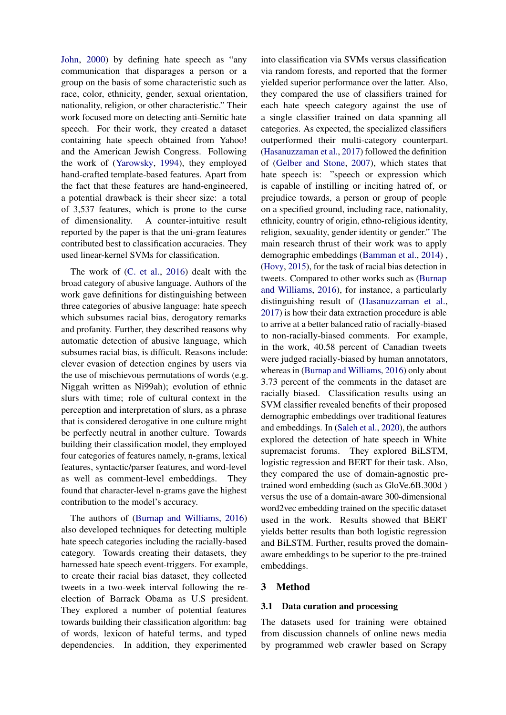[John,](#page-7-2) [2000\)](#page-7-2) by defining hate speech as "any communication that disparages a person or a group on the basis of some characteristic such as race, color, ethnicity, gender, sexual orientation, nationality, religion, or other characteristic." Their work focused more on detecting anti-Semitic hate speech. For their work, they created a dataset containing hate speech obtained from Yahoo! and the American Jewish Congress. Following the work of [\(Yarowsky,](#page-7-3) [1994\)](#page-7-3), they employed hand-crafted template-based features. Apart from the fact that these features are hand-engineered, a potential drawback is their sheer size: a total of 3,537 features, which is prone to the curse of dimensionality. A counter-intuitive result reported by the paper is that the uni-gram features contributed best to classification accuracies. They used linear-kernel SVMs for classification.

The work of [\(C. et al.,](#page-7-4) [2016\)](#page-7-4) dealt with the broad category of abusive language. Authors of the work gave definitions for distinguishing between three categories of abusive language: hate speech which subsumes racial bias, derogatory remarks and profanity. Further, they described reasons why automatic detection of abusive language, which subsumes racial bias, is difficult. Reasons include: clever evasion of detection engines by users via the use of mischievous permutations of words (e.g. Niggah written as Ni99ah); evolution of ethnic slurs with time; role of cultural context in the perception and interpretation of slurs, as a phrase that is considered derogative in one culture might be perfectly neutral in another culture. Towards building their classification model, they employed four categories of features namely, n-grams, lexical features, syntactic/parser features, and word-level as well as comment-level embeddings. They found that character-level n-grams gave the highest contribution to the model's accuracy.

The authors of [\(Burnap and Williams,](#page-6-0) [2016\)](#page-6-0) also developed techniques for detecting multiple hate speech categories including the racially-based category. Towards creating their datasets, they harnessed hate speech event-triggers. For example, to create their racial bias dataset, they collected tweets in a two-week interval following the reelection of Barrack Obama as U.S president. They explored a number of potential features towards building their classification algorithm: bag of words, lexicon of hateful terms, and typed dependencies. In addition, they experimented

into classification via SVMs versus classification via random forests, and reported that the former yielded superior performance over the latter. Also, they compared the use of classifiers trained for each hate speech category against the use of a single classifier trained on data spanning all categories. As expected, the specialized classifiers outperformed their multi-category counterpart. [\(Hasanuzzaman et al.,](#page-7-5) [2017\)](#page-7-5) followed the definition of [\(Gelber and Stone,](#page-7-6) [2007\)](#page-7-6), which states that hate speech is: "speech or expression which is capable of instilling or inciting hatred of, or prejudice towards, a person or group of people on a specified ground, including race, nationality, ethnicity, country of origin, ethno-religious identity, religion, sexuality, gender identity or gender." The main research thrust of their work was to apply demographic embeddings [\(Bamman et al.,](#page-6-1) [2014\)](#page-6-1) , [\(Hovy,](#page-7-7) [2015\)](#page-7-7), for the task of racial bias detection in tweets. Compared to other works such as [\(Burnap](#page-6-0) [and Williams,](#page-6-0) [2016\)](#page-6-0), for instance, a particularly distinguishing result of [\(Hasanuzzaman et al.,](#page-7-5) [2017\)](#page-7-5) is how their data extraction procedure is able to arrive at a better balanced ratio of racially-biased to non-racially-biased comments. For example, in the work, 40.58 percent of Canadian tweets were judged racially-biased by human annotators, whereas in [\(Burnap and Williams,](#page-6-0) [2016\)](#page-6-0) only about 3.73 percent of the comments in the dataset are racially biased. Classification results using an SVM classifier revealed benefits of their proposed demographic embeddings over traditional features and embeddings. In [\(Saleh et al.,](#page-7-8) [2020\)](#page-7-8), the authors explored the detection of hate speech in White supremacist forums. They explored BiLSTM, logistic regression and BERT for their task. Also, they compared the use of domain-agnostic pretrained word embedding (such as GloVe.6B.300d ) versus the use of a domain-aware 300-dimensional word2vec embedding trained on the specific dataset used in the work. Results showed that BERT yields better results than both logistic regression and BiLSTM. Further, results proved the domainaware embeddings to be superior to the pre-trained embeddings.

# 3 Method

## 3.1 Data curation and processing

The datasets used for training were obtained from discussion channels of online news media by programmed web crawler based on Scrapy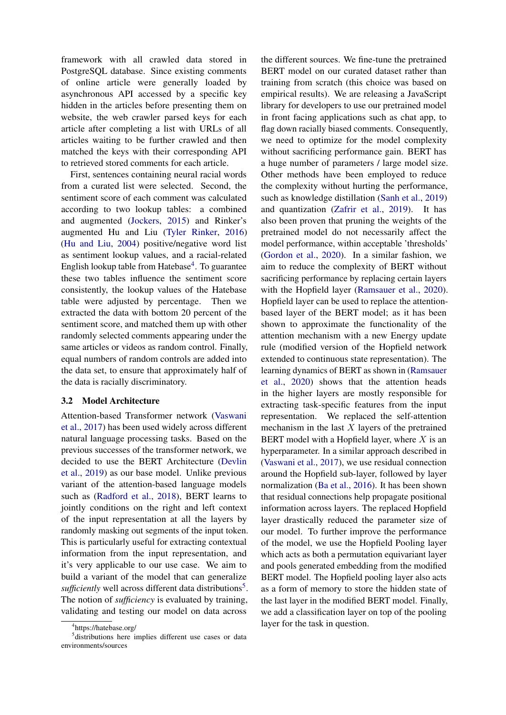framework with all crawled data stored in PostgreSQL database. Since existing comments of online article were generally loaded by asynchronous API accessed by a specific key hidden in the articles before presenting them on website, the web crawler parsed keys for each article after completing a list with URLs of all articles waiting to be further crawled and then matched the keys with their corresponding API to retrieved stored comments for each article.

First, sentences containing neural racial words from a curated list were selected. Second, the sentiment score of each comment was calculated according to two lookup tables: a combined and augmented [\(Jockers,](#page-7-9) [2015\)](#page-7-9) and Rinker's augmented Hu and Liu [\(Tyler Rinker,](#page-7-10) [2016\)](#page-7-10) [\(Hu and Liu,](#page-7-11) [2004\)](#page-7-11) positive/negative word list as sentiment lookup values, and a racial-related English lookup table from Hatebase<sup>[4](#page-2-0)</sup>. To guarantee these two tables influence the sentiment score consistently, the lookup values of the Hatebase table were adjusted by percentage. Then we extracted the data with bottom 20 percent of the sentiment score, and matched them up with other randomly selected comments appearing under the same articles or videos as random control. Finally, equal numbers of random controls are added into the data set, to ensure that approximately half of the data is racially discriminatory.

## 3.2 Model Architecture

Attention-based Transformer network [\(Vaswani](#page-7-12) [et al.,](#page-7-12) [2017\)](#page-7-12) has been used widely across different natural language processing tasks. Based on the previous successes of the transformer network, we decided to use the BERT Architecture [\(Devlin](#page-7-13) [et al.,](#page-7-13) [2019\)](#page-7-13) as our base model. Unlike previous variant of the attention-based language models such as [\(Radford et al.,](#page-7-14) [2018\)](#page-7-14), BERT learns to jointly conditions on the right and left context of the input representation at all the layers by randomly masking out segments of the input token. This is particularly useful for extracting contextual information from the input representation, and it's very applicable to our use case. We aim to build a variant of the model that can generalize sufficiently well across different data distributions<sup>[5](#page-2-1)</sup>. The notion of *sufficiency* is evaluated by training, validating and testing our model on data across

the different sources. We fine-tune the pretrained BERT model on our curated dataset rather than training from scratch (this choice was based on empirical results). We are releasing a JavaScript library for developers to use our pretrained model in front facing applications such as chat app, to flag down racially biased comments. Consequently, we need to optimize for the model complexity without sacrificing performance gain. BERT has a huge number of parameters / large model size. Other methods have been employed to reduce the complexity without hurting the performance, such as knowledge distillation [\(Sanh et al.,](#page-7-15) [2019\)](#page-7-15) and quantization [\(Zafrir et al.,](#page-7-16) [2019\)](#page-7-16). It has also been proven that pruning the weights of the pretrained model do not necessarily affect the model performance, within acceptable 'thresholds' [\(Gordon et al.,](#page-7-17) [2020\)](#page-7-17). In a similar fashion, we aim to reduce the complexity of BERT without sacrificing performance by replacing certain layers with the Hopfield layer [\(Ramsauer et al.,](#page-7-18) [2020\)](#page-7-18). Hopfield layer can be used to replace the attentionbased layer of the BERT model; as it has been shown to approximate the functionality of the attention mechanism with a new Energy update rule (modified version of the Hopfield network extended to continuous state representation). The learning dynamics of BERT as shown in [\(Ramsauer](#page-7-18) [et al.,](#page-7-18) [2020\)](#page-7-18) shows that the attention heads in the higher layers are mostly responsible for extracting task-specific features from the input representation. We replaced the self-attention mechanism in the last  $X$  layers of the pretrained BERT model with a Hopfield layer, where  $X$  is an hyperparameter. In a similar approach described in [\(Vaswani et al.,](#page-7-12) [2017\)](#page-7-12), we use residual connection around the Hopfield sub-layer, followed by layer normalization [\(Ba et al.,](#page-6-2) [2016\)](#page-6-2). It has been shown that residual connections help propagate positional information across layers. The replaced Hopfield layer drastically reduced the parameter size of our model. To further improve the performance of the model, we use the Hopfield Pooling layer which acts as both a permutation equivariant layer and pools generated embedding from the modified BERT model. The Hopfield pooling layer also acts as a form of memory to store the hidden state of the last layer in the modified BERT model. Finally, we add a classification layer on top of the pooling layer for the task in question.

<span id="page-2-1"></span><span id="page-2-0"></span><sup>4</sup> https://hatebase.org/

<sup>5</sup> distributions here implies different use cases or data environments/sources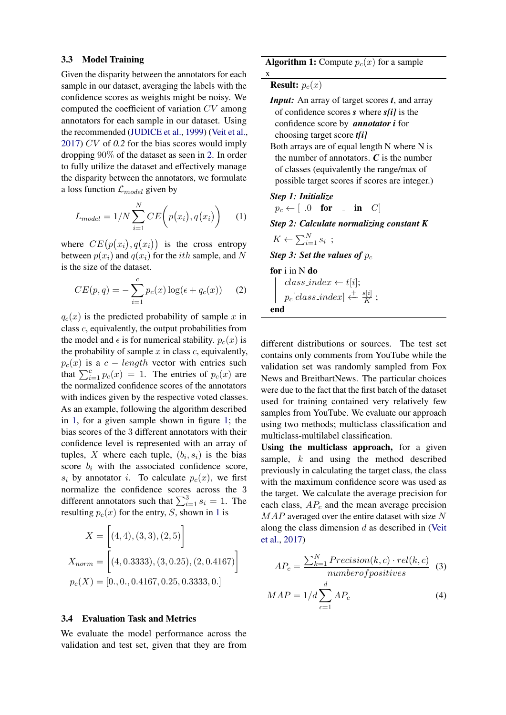#### 3.3 Model Training

Given the disparity between the annotators for each sample in our dataset, averaging the labels with the confidence scores as weights might be noisy. We computed the coefficient of variation CV among annotators for each sample in our dataset. Using the recommended [\(JUDICE et al.,](#page-7-19) [1999\)](#page-7-19) [\(Veit et al.,](#page-7-20) [2017\)](#page-7-20) CV of *0.2* for the bias scores would imply dropping 90% of the dataset as seen in [2.](#page-4-0) In order to fully utilize the dataset and effectively manage the disparity between the annotators, we formulate a loss function  $\mathcal{L}_{model}$  given by

$$
L_{model} = 1/N \sum_{i=1}^{N} CE\left(p(x_i), q(x_i)\right) \quad (1)
$$

where  $CE(p(x_i), q(x_i))$  is the cross entropy between  $p(x_i)$  and  $q(x_i)$  for the *ith* sample, and N is the size of the dataset.

$$
CE(p,q) = -\sum_{i=1}^{c} p_c(x) \log(\epsilon + q_c(x)) \quad (2)
$$

 $q_c(x)$  is the predicted probability of sample x in class c, equivalently, the output probabilities from the model and  $\epsilon$  is for numerical stability.  $p_c(x)$  is the probability of sample  $x$  in class  $c$ , equivalently,  $p_c(x)$  is a  $c - length$  vector with entries such that  $\sum_{i=1}^{c} p_c(x) = 1$ . The entries of  $p_c(x)$  are the normalized confidence scores of the annotators with indices given by the respective voted classes. As an example, following the algorithm described in [1,](#page-3-0) for a given sample shown in figure [1;](#page-4-1) the bias scores of the 3 different annotators with their confidence level is represented with an array of tuples, X where each tuple,  $(b_i, s_i)$  is the bias score  $b_i$  with the associated confidence score,  $s_i$  by annotator i. To calculate  $p_c(x)$ , we first normalize the confidence scores across the 3 different annotators such that  $\sum_{i=1}^{3} s_i = 1$ . The resulting  $p_c(x)$  for the entry, S, shown in [1](#page-4-1) is

$$
X = [(4, 4), (3, 3), (2, 5)]
$$
  

$$
X_{norm} = [(4, 0.3333), (3, 0.25), (2, 0.4167)]
$$
  

$$
p_c(X) = [0., 0., 0.4167, 0.25, 0.3333, 0.]
$$

## 3.4 Evaluation Task and Metrics

We evaluate the model performance across the validation and test set, given that they are from **Algorithm 1:** Compute  $p_c(x)$  for a sample

**Result:**  $p_c(x)$ 

x

- *Input:* An array of target scores *t*, and array of confidence scores *s* where *s[i]* is the confidence score by *annotator i* for choosing target score *t[i]* Both arrays are of equal length N where N is
- the number of annotators. *C* is the number of classes (equivalently the range/max of possible target scores if scores are integer.)

## *Step 1: Initialize*

$$
p_c \leftarrow [ .0 \quad \textbf{for} \quad . \quad \textbf{in} \quad C ]
$$

*Step 2: Calculate normalizing constant K*

$$
K \leftarrow \sum_{i=1}^{N} s_i ;
$$

**Step 3: Set the values of**  $p_c$ 

for i in N do

$$
\begin{array}{c}\n \text{class_index} \leftarrow t[i]; \\
p_c[\text{class_index}] \leftarrow \frac{s[i]}{K}; \\
\text{end}\n \end{array}
$$

<span id="page-3-0"></span>different distributions or sources. The test set contains only comments from YouTube while the validation set was randomly sampled from Fox News and BreitbartNews. The particular choices were due to the fact that the first batch of the dataset used for training contained very relatively few samples from YouTube. We evaluate our approach using two methods; multiclass classification and multiclass-multilabel classification.

Using the multiclass approach, for a given sample,  $k$  and using the method described previously in calculating the target class, the class with the maximum confidence score was used as the target. We calculate the average precision for each class,  $AP_c$  and the mean average precision MAP averaged over the entire dataset with size N along the class dimension  $d$  as described in [\(Veit](#page-7-20) [et al.,](#page-7-20) [2017\)](#page-7-20)

$$
AP_c = \frac{\sum_{k=1}^{N} Precision(k, c) \cdot rel(k, c)}{number of positives} \quad (3)
$$

$$
MAP = 1/d \sum_{c=1}^{d} AP_c \quad (4)
$$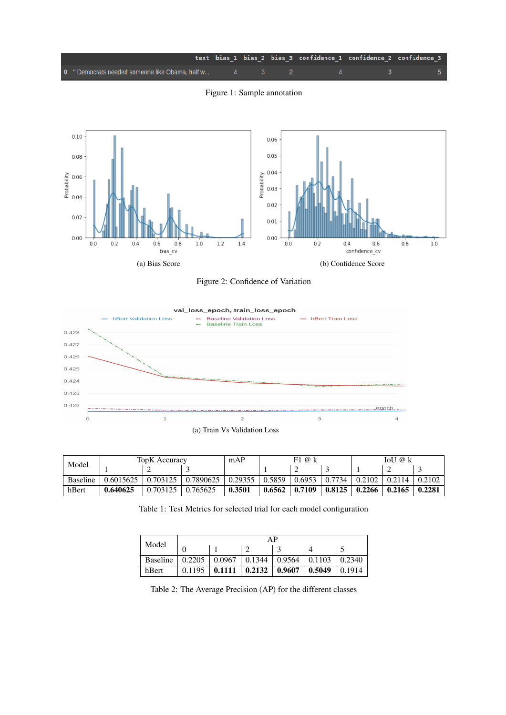<span id="page-4-1"></span>

Figure 1: Sample annotation

<span id="page-4-0"></span>

Figure 2: Confidence of Variation



<span id="page-4-3"></span><span id="page-4-2"></span>

| Model           | <b>TopK</b> Accuracy |          |                        | mAP                   | F1@k     |        |  | IoU @ k             |           |        |
|-----------------|----------------------|----------|------------------------|-----------------------|----------|--------|--|---------------------|-----------|--------|
|                 |                      |          |                        |                       |          |        |  |                     |           |        |
| <b>Baseline</b> | 0.6015625            |          | $0.703125$   0.7890625 | $\vert 0.29355 \vert$ | $0.5859$ | 0.6953 |  | $0.7734 \pm 0.2102$ | 0.2114    | 0.2102 |
| hBert           | 0.640625             | 0.703125 | $\mid 0.765625$        | 0.3501                | 0.6562   | 0.7109 |  | $0.8125 \pm 0.2266$ | $-0.2165$ | 0.2281 |

Table 1: Test Metrics for selected trial for each model configuration

| Model           | AP     |        |        |        |        |        |  |  |  |
|-----------------|--------|--------|--------|--------|--------|--------|--|--|--|
|                 |        |        |        |        |        |        |  |  |  |
| <b>Baseline</b> | 0.2205 | 0.0967 | 0.1344 | 0.9564 | 0.1103 | 0.2340 |  |  |  |
| hBert           | 0.1195 | 0.1111 | 0.2132 | 0.9607 | 0.5049 | 0.1914 |  |  |  |

Table 2: The Average Precision (AP) for the different classes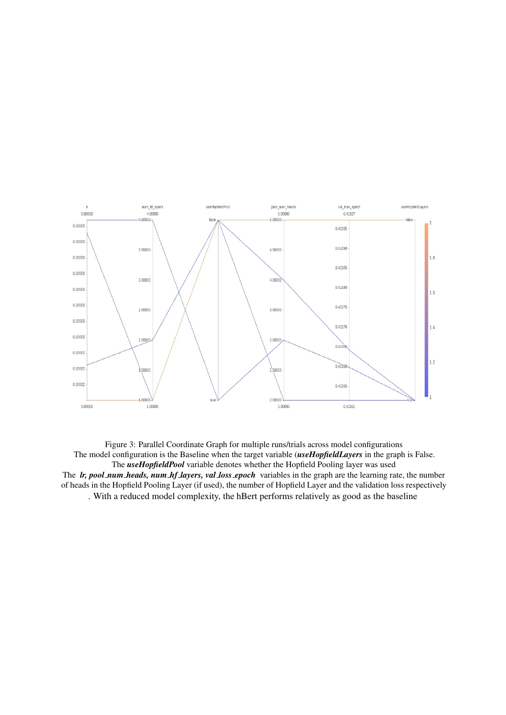<span id="page-5-0"></span>

Figure 3: Parallel Coordinate Graph for multiple runs/trials across model configurations The model configuration is the Baseline when the target variable (*useHopfieldLayers* in the graph is False. The *useHopfieldPool* variable denotes whether the Hopfield Pooling layer was used The *lr, pool num heads, num hf layers, val loss epoch* variables in the graph are the learning rate, the number of heads in the Hopfield Pooling Layer (if used), the number of Hopfield Layer and the validation loss respectively . With a reduced model complexity, the hBert performs relatively as good as the baseline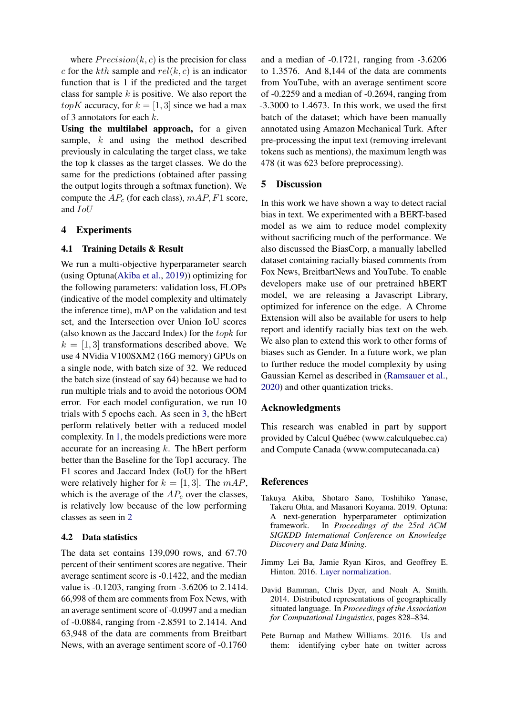where  $Precision(k, c)$  is the precision for class c for the kth sample and  $rel(k, c)$  is an indicator function that is 1 if the predicted and the target class for sample  $k$  is positive. We also report the *topK* accuracy, for  $k = \begin{bmatrix} 1 \\ 3 \end{bmatrix}$  since we had a max of 3 annotators for each k.

Using the multilabel approach, for a given sample, k and using the method described previously in calculating the target class, we take the top k classes as the target classes. We do the same for the predictions (obtained after passing the output logits through a softmax function). We compute the  $AP_c$  (for each class),  $mAP, F1$  score, and IoU

## 4 Experiments

#### 4.1 Training Details & Result

We run a multi-objective hyperparameter search (using Optuna[\(Akiba et al.,](#page-6-3) [2019\)](#page-6-3)) optimizing for the following parameters: validation loss, FLOPs (indicative of the model complexity and ultimately the inference time), mAP on the validation and test set, and the Intersection over Union IoU scores (also known as the Jaccard Index) for the topk for  $k = [1, 3]$  transformations described above. We use 4 NVidia V100SXM2 (16G memory) GPUs on a single node, with batch size of 32. We reduced the batch size (instead of say 64) because we had to run multiple trials and to avoid the notorious OOM error. For each model configuration, we run 10 trials with 5 epochs each. As seen in [3,](#page-5-0) the hBert perform relatively better with a reduced model complexity. In [1,](#page-4-2) the models predictions were more accurate for an increasing  $k$ . The hBert perform better than the Baseline for the Top1 accuracy. The F1 scores and Jaccard Index (IoU) for the hBert were relatively higher for  $k = [1, 3]$ . The  $mAP$ , which is the average of the  $AP_c$  over the classes, is relatively low because of the low performing classes as seen in [2](#page-4-3)

#### 4.2 Data statistics

The data set contains 139,090 rows, and 67.70 percent of their sentiment scores are negative. Their average sentiment score is -0.1422, and the median value is -0.1203, ranging from -3.6206 to 2.1414. 66,998 of them are comments from Fox News, with an average sentiment score of -0.0997 and a median of -0.0884, ranging from -2.8591 to 2.1414. And 63,948 of the data are comments from Breitbart News, with an average sentiment score of -0.1760

and a median of -0.1721, ranging from -3.6206 to 1.3576. And 8,144 of the data are comments from YouTube, with an average sentiment score of -0.2259 and a median of -0.2694, ranging from -3.3000 to 1.4673. In this work, we used the first batch of the dataset; which have been manually annotated using Amazon Mechanical Turk. After pre-processing the input text (removing irrelevant tokens such as mentions), the maximum length was 478 (it was 623 before preprocessing).

## 5 Discussion

In this work we have shown a way to detect racial bias in text. We experimented with a BERT-based model as we aim to reduce model complexity without sacrificing much of the performance. We also discussed the BiasCorp, a manually labelled dataset containing racially biased comments from Fox News, BreitbartNews and YouTube. To enable developers make use of our pretrained hBERT model, we are releasing a Javascript Library, optimized for inference on the edge. A Chrome Extension will also be available for users to help report and identify racially bias text on the web. We also plan to extend this work to other forms of biases such as Gender. In a future work, we plan to further reduce the model complexity by using Gaussian Kernel as described in [\(Ramsauer et al.,](#page-7-18) [2020\)](#page-7-18) and other quantization tricks.

## Acknowledgments

This research was enabled in part by support provided by Calcul Québec (www.calculquebec.ca) and Compute Canada (www.computecanada.ca)

#### **References**

- <span id="page-6-3"></span>Takuya Akiba, Shotaro Sano, Toshihiko Yanase, Takeru Ohta, and Masanori Koyama. 2019. Optuna: A next-generation hyperparameter optimization framework. In *Proceedings of the 25rd ACM SIGKDD International Conference on Knowledge Discovery and Data Mining*.
- <span id="page-6-2"></span>Jimmy Lei Ba, Jamie Ryan Kiros, and Geoffrey E. Hinton. 2016. [Layer normalization.](http://arxiv.org/abs/1607.06450)
- <span id="page-6-1"></span>David Bamman, Chris Dyer, and Noah A. Smith. 2014. Distributed representations of geographically situated language. In *Proceedings of the Association for Computational Linguistics*, pages 828–834.
- <span id="page-6-0"></span>Pete Burnap and Mathew Williams. 2016. Us and them: identifying cyber hate on twitter across